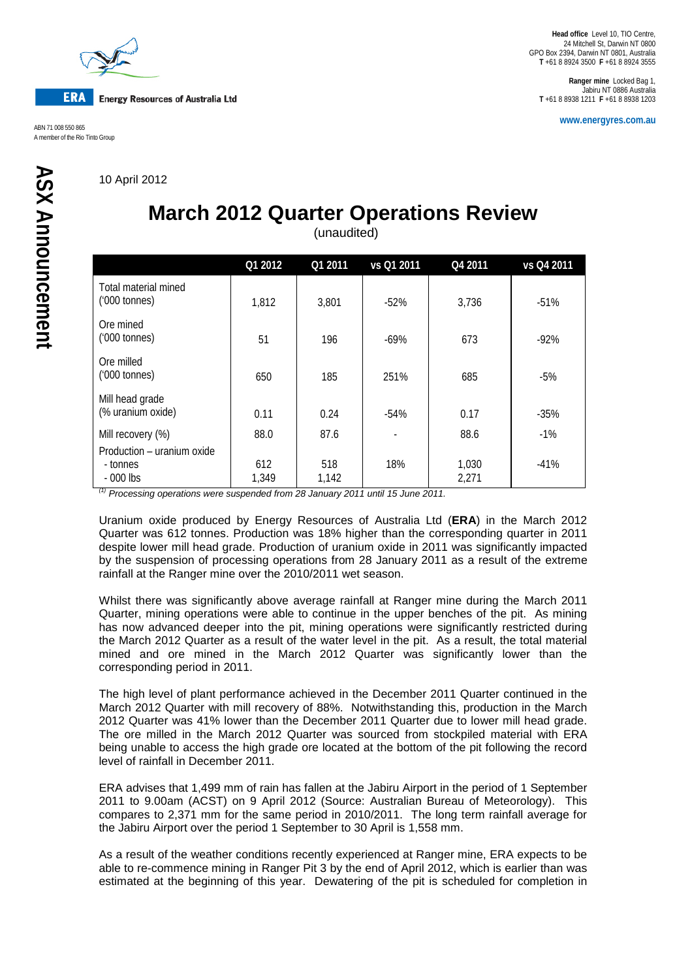

**www.energyres.com.au** ABN 71 008 550 865 A member of the Rio Tinto Group

**Ranger mine** Locked Bag 1, Jabiru NT 0886 Australia **T** +61 8 8938 1211 **F** +61 8 8938 1203

10 April 2012

## **March 2012 Quarter Operations Review**

(unaudited)

|                                                      | Q1 2012      | Q1 2011      | vs Q1 2011 | Q4 2011        | vs Q4 2011 |
|------------------------------------------------------|--------------|--------------|------------|----------------|------------|
| Total material mined<br>$(000 \text{ tonnes})$       | 1,812        | 3,801        | $-52%$     | 3.736          | $-51%$     |
| Ore mined<br>$(000 \text{ tonnes})$                  | 51           | 196          | $-69%$     | 673            | $-92%$     |
| Ore milled<br>$(000 \text{ tonnes})$                 | 650          | 185          | 251%       | 685            | $-5%$      |
| Mill head grade<br>(% uranium oxide)                 | 0.11         | 0.24         | $-54%$     | 0.17           | $-35%$     |
| Mill recovery (%)                                    | 88.0         | 87.6         |            | 88.6           | $-1%$      |
| Production – uranium oxide<br>- tonnes<br>$-000$ lbs | 612<br>1,349 | 518<br>1,142 | 18%        | 1,030<br>2,271 | $-41%$     |

*(1) Processing operations were suspended from 28 January 2011 until 15 June 2011.*

Uranium oxide produced by Energy Resources of Australia Ltd (**ERA**) in the March 2012 Quarter was 612 tonnes. Production was 18% higher than the corresponding quarter in 2011 despite lower mill head grade. Production of uranium oxide in 2011 was significantly impacted by the suspension of processing operations from 28 January 2011 as a result of the extreme rainfall at the Ranger mine over the 2010/2011 wet season.

Whilst there was significantly above average rainfall at Ranger mine during the March 2011 Quarter, mining operations were able to continue in the upper benches of the pit. As mining has now advanced deeper into the pit, mining operations were significantly restricted during the March 2012 Quarter as a result of the water level in the pit. As a result, the total material mined and ore mined in the March 2012 Quarter was significantly lower than the corresponding period in 2011.

The high level of plant performance achieved in the December 2011 Quarter continued in the March 2012 Quarter with mill recovery of 88%. Notwithstanding this, production in the March 2012 Quarter was 41% lower than the December 2011 Quarter due to lower mill head grade. The ore milled in the March 2012 Quarter was sourced from stockpiled material with ERA being unable to access the high grade ore located at the bottom of the pit following the record level of rainfall in December 2011.

ERA advises that 1,499 mm of rain has fallen at the Jabiru Airport in the period of 1 September 2011 to 9.00am (ACST) on 9 April 2012 (Source: Australian Bureau of Meteorology). This compares to 2,371 mm for the same period in 2010/2011. The long term rainfall average for the Jabiru Airport over the period 1 September to 30 April is 1,558 mm.

As a result of the weather conditions recently experienced at Ranger mine, ERA expects to be able to re-commence mining in Ranger Pit 3 by the end of April 2012, which is earlier than was estimated at the beginning of this year. Dewatering of the pit is scheduled for completion in